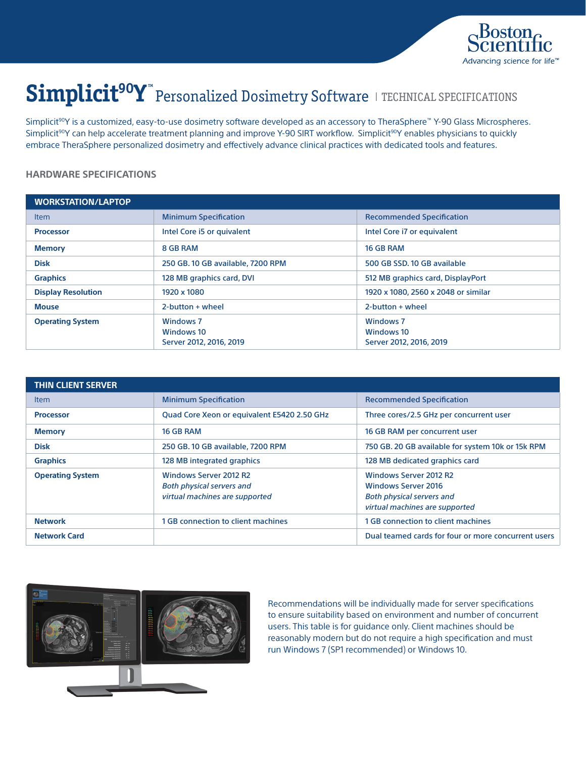

# Simplicit<sup>90</sup>Y" Personalized Dosimetry Software I TECHNICAL SPECIFICATIONS

Simplicit<sup>90</sup>Y is a customized, easy-to-use dosimetry software developed as an accessory to TheraSphere™ Y-90 Glass Microspheres. Simplicit<sup>90</sup>Y can help accelerate treatment planning and improve Y-90 SIRT workflow. Simplicit<sup>90</sup>Y enables physicians to quickly embrace TheraSphere personalized dosimetry and effectively advance clinical practices with dedicated tools and features.

## **HARDWARE SPECIFICATIONS**

| <b>WORKSTATION/LAPTOP</b> |                                                           |                                                           |
|---------------------------|-----------------------------------------------------------|-----------------------------------------------------------|
| <b>Item</b>               | <b>Minimum Specification</b>                              | <b>Recommended Specification</b>                          |
| <b>Processor</b>          | Intel Core i5 or guivalent                                | Intel Core i7 or equivalent                               |
| <b>Memory</b>             | 8 GB RAM                                                  | 16 GB RAM                                                 |
| <b>Disk</b>               | 250 GB. 10 GB available, 7200 RPM                         | 500 GB SSD, 10 GB available                               |
| <b>Graphics</b>           | 128 MB graphics card, DVI                                 | 512 MB graphics card, DisplayPort                         |
| <b>Display Resolution</b> | 1920 x 1080                                               | 1920 x 1080, 2560 x 2048 or similar                       |
| <b>Mouse</b>              | $2$ -button + wheel                                       | $2$ -button + wheel                                       |
| <b>Operating System</b>   | <b>Windows 7</b><br>Windows 10<br>Server 2012, 2016, 2019 | <b>Windows 7</b><br>Windows 10<br>Server 2012, 2016, 2019 |

| <b>THIN CLIENT SERVER</b> |                                                                                                     |                                                                                                                                   |
|---------------------------|-----------------------------------------------------------------------------------------------------|-----------------------------------------------------------------------------------------------------------------------------------|
| <b>Item</b>               | <b>Minimum Specification</b>                                                                        | <b>Recommended Specification</b>                                                                                                  |
| <b>Processor</b>          | Quad Core Xeon or equivalent E5420 2.50 GHz                                                         | Three cores/2.5 GHz per concurrent user                                                                                           |
| <b>Memory</b>             | 16 GB RAM                                                                                           | 16 GB RAM per concurrent user                                                                                                     |
| <b>Disk</b>               | 250 GB, 10 GB available, 7200 RPM                                                                   | 750 GB. 20 GB available for system 10k or 15k RPM                                                                                 |
| <b>Graphics</b>           | 128 MB integrated graphics                                                                          | 128 MB dedicated graphics card                                                                                                    |
| <b>Operating System</b>   | <b>Windows Server 2012 R2</b><br><b>Both physical servers and</b><br>virtual machines are supported | <b>Windows Server 2012 R2</b><br><b>Windows Server 2016</b><br><b>Both physical servers and</b><br>virtual machines are supported |
| <b>Network</b>            | 1 GB connection to client machines                                                                  | 1 GB connection to client machines                                                                                                |
| <b>Network Card</b>       |                                                                                                     | Dual teamed cards for four or more concurrent users                                                                               |



Recommendations will be individually made for server specifications to ensure suitability based on environment and number of concurrent users. This table is for guidance only. Client machines should be reasonably modern but do not require a high specification and must run Windows 7 (SP1 recommended) or Windows 10.